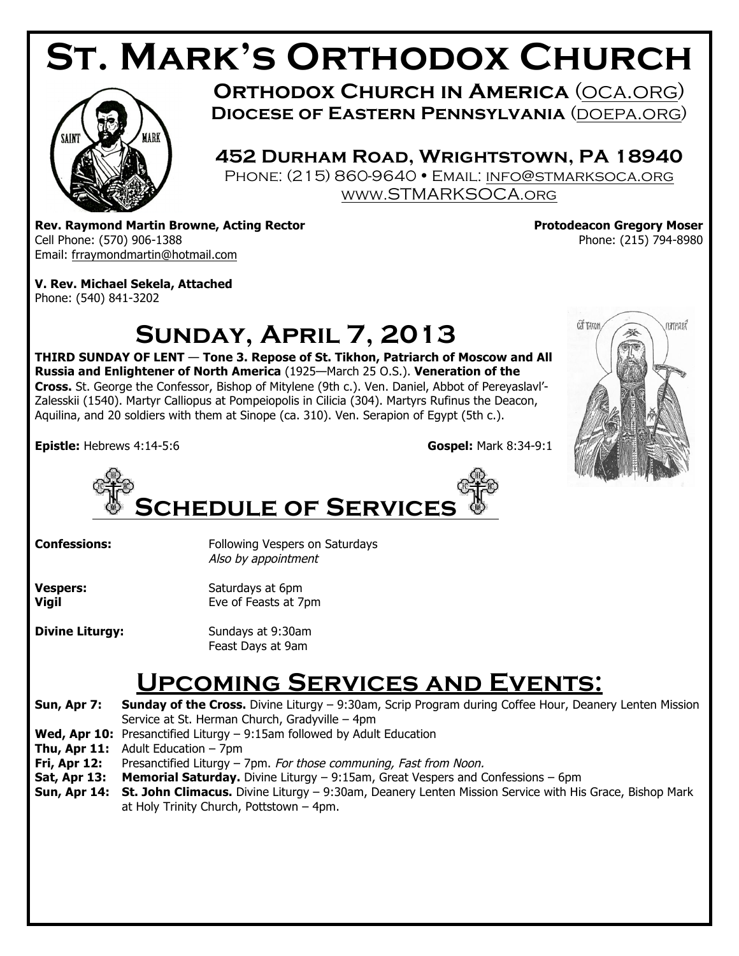# **St. Mark's Orthodox Church**



**ORTHODOX CHURCH IN AMERICA (OCA.ORG) Diocese of Eastern Pennsylvania** (doepa.org)

**452 Durham Road, Wrightstown, PA 18940** PHONE: (215) 860-9640 · EMAIL: INFO@STMARKSOCA.ORG www.STMARKSOCA.org

**Rev. Raymond Martin Browne, Acting Rector No. 2018 1998 12:30 Rev. Protodeacon Gregory Moser** Cell Phone: (570) 906-1388 Phone: (215) 794-8980 Email: frraymondmartin@hotmail.com

**V. Rev. Michael Sekela, Attached** Phone: (540) 841-3202

# **Sunday, April 7, 2013**

**THIRD SUNDAY OF LENT** — **Tone 3. Repose of St. Tikhon, Patriarch of Moscow and All Russia and Enlightener of North America** (1925—March 25 O.S.). **Veneration of the Cross.** St. George the Confessor, Bishop of Mitylene (9th c.). Ven. Daniel, Abbot of Pereyaslavl'- Zalesskii (1540). Martyr Calliopus at Pompeiopolis in Cilicia (304). Martyrs Rufinus the Deacon, Aquilina, and 20 soldiers with them at Sinope (ca. 310). Ven. Serapion of Egypt (5th c.).

**Epistle:** Hebrews 4:14-5:6 **Gospel:** Mark 8:34-9:1





**Confessions:** Following Vespers on Saturdays Also by appointment

**Vespers:** Saturdays at 6pm **Vigil** Eve of Feasts at 7pm

**Divine Liturgy:** Sundays at 9:30am Feast Days at 9am

## **Upcoming Services and Events:**

**Sun, Apr 7: Sunday of the Cross.** Divine Liturgy – 9:30am, Scrip Program during Coffee Hour, Deanery Lenten Mission Service at St. Herman Church, Gradyville – 4pm

- **Wed, Apr 10:** Presanctified Liturgy 9:15am followed by Adult Education
- **Thu, Apr 11:** Adult Education 7pm
- **Fri, Apr 12:** Presanctified Liturgy 7pm. For those communing, Fast from Noon.
- **Sat, Apr 13: Memorial Saturday.** Divine Liturgy 9:15am, Great Vespers and Confessions 6pm
- **Sun, Apr 14: St. John Climacus.** Divine Liturgy 9:30am, Deanery Lenten Mission Service with His Grace, Bishop Mark at Holy Trinity Church, Pottstown – 4pm.